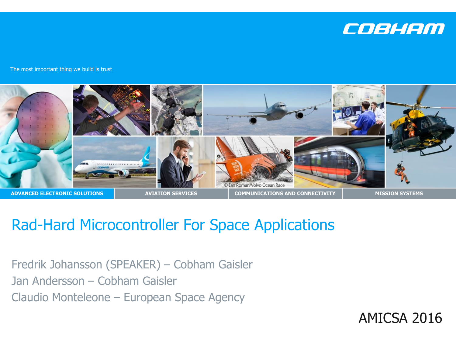

The most important thing we build is trust



#### Rad-Hard Microcontroller For Space Applications

Fredrik Johansson (SPEAKER) – Cobham Gaisler Jan Andersson – Cobham Gaisler Claudio Monteleone – European Space Agency

AMICSA 2016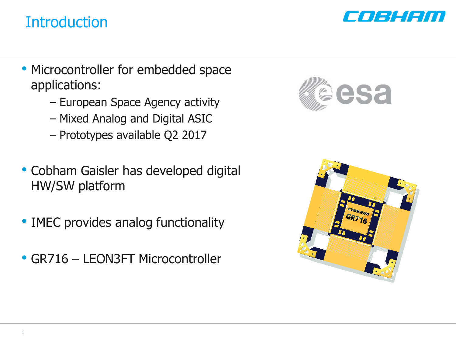#### **Introduction**



- Microcontroller for embedded space applications:
	- European Space Agency activity
	- Mixed Analog and Digital ASIC
	- Prototypes available Q2 2017
- Cobham Gaisler has developed digital HW/SW platform
- IMEC provides analog functionality
- GR716 LEON3FT Microcontroller



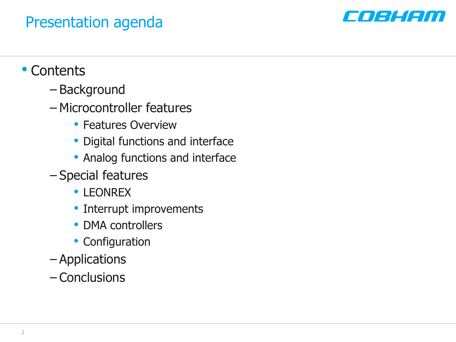#### Presentation agenda



#### • Contents

- Background
- Microcontroller features
	- Features Overview
	- Digital functions and interface
	- Analog functions and interface
- Special features
	- LEONREX
	- Interrupt improvements
	- DMA controllers
	- Configuration
- Applications
- Conclusions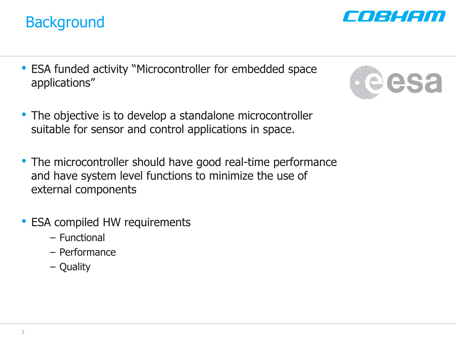#### **Background**

- ESA funded activity "Microcontroller for embedded space applications"
- The objective is to develop a standalone microcontroller suitable for sensor and control applications in space.
- The microcontroller should have good real-time performance and have system level functions to minimize the use of external components
- ESA compiled HW requirements
	- Functional
	- Performance
	- Quality



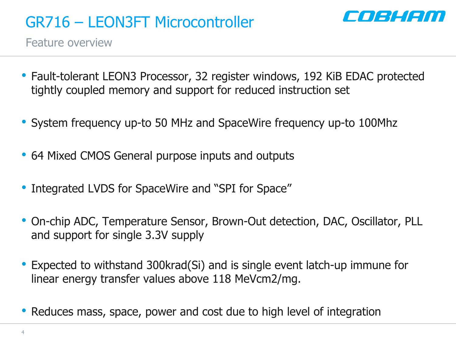

Feature overview

- Fault-tolerant LEON3 Processor, 32 register windows, 192 KiB EDAC protected tightly coupled memory and support for reduced instruction set
- System frequency up-to 50 MHz and SpaceWire frequency up-to 100Mhz
- 64 Mixed CMOS General purpose inputs and outputs
- Integrated LVDS for SpaceWire and "SPI for Space"
- On-chip ADC, Temperature Sensor, Brown-Out detection, DAC, Oscillator, PLL and support for single 3.3V supply
- Expected to withstand 300krad(Si) and is single event latch-up immune for linear energy transfer values above 118 MeVcm2/mg.
- Reduces mass, space, power and cost due to high level of integration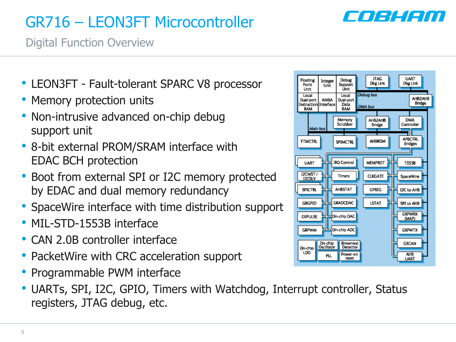#### a i sta i sti

# GR716 – LEON3FT Microcontroller

Digital Function Overview

- LEON3FT Fault-tolerant SPARC V8 processor
- Memory protection units
- Non-intrusive advanced on-chip debug support unit
- 8-bit external PROM/SRAM interface with EDAC BCH protection
- Boot from external SPI or I2C memory protected by EDAC and dual memory redundancy
- SpaceWire interface with time distribution support
- MIL-STD-1553B interface
- CAN 2.0B controller interface
- PacketWire with CRC acceleration support
- Programmable PWM interface
- UARTs, SPI, I2C, GPIO, Timers with Watchdog, Interrupt controller, Status registers, JTAG debug, etc.

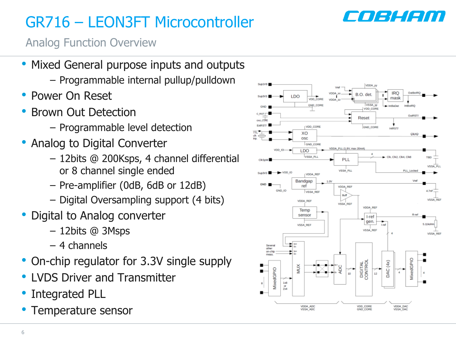

Analog Function Overview

- Mixed General purpose inputs and outputs
	- Programmable internal pullup/pulldown
- Power On Reset
- Brown Out Detection
	- Programmable level detection
- Analog to Digital Converter
	- 12bits @ 200Ksps, 4 channel differential or 8 channel single ended
	- Pre-amplifier (0dB, 6dB or 12dB)
	- Digital Oversampling support (4 bits)
- Digital to Analog converter
	- 12bits @ 3Msps
	- 4 channels
- On-chip regulator for 3.3V single supply
- LVDS Driver and Transmitter
- Integrated PLL
- Temperature sensor

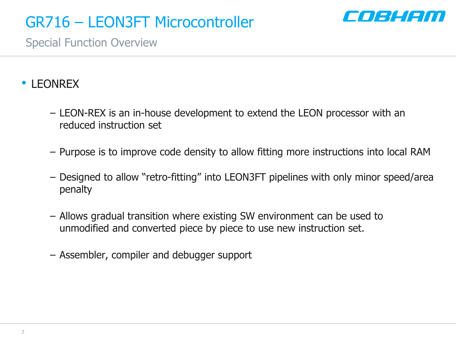

Special Function Overview

#### • LEONREX

- LEON-REX is an in-house development to extend the LEON processor with an reduced instruction set
- Purpose is to improve code density to allow fitting more instructions into local RAM
- Designed to allow "retro-fitting" into LEON3FT pipelines with only minor speed/area penalty
- Allows gradual transition where existing SW environment can be used to unmodified and converted piece by piece to use new instruction set.
- Assembler, compiler and debugger support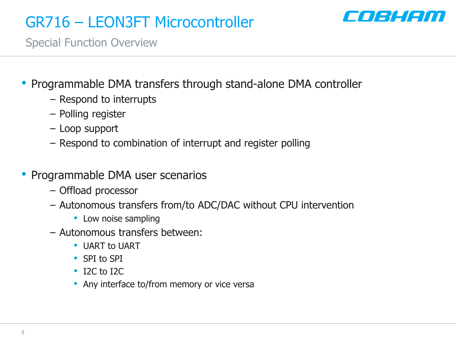

Special Function Overview

- Programmable DMA transfers through stand-alone DMA controller
	- Respond to interrupts
	- Polling register
	- Loop support
	- Respond to combination of interrupt and register polling
- Programmable DMA user scenarios
	- Offload processor
	- Autonomous transfers from/to ADC/DAC without CPU intervention
		- Low noise sampling
	- Autonomous transfers between:
		- UART to UART
		- SPI to SPI
		- I2C to I2C
		- Any interface to/from memory or vice versa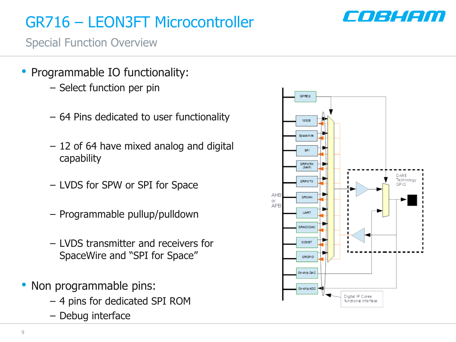

Special Function Overview

- Programmable IO functionality:
	- Select function per pin
	- 64 Pins dedicated to user functionality
	- 12 of 64 have mixed analog and digital capability
	- LVDS for SPW or SPI for Space
	- Programmable pullup/pulldown
	- LVDS transmitter and receivers for SpaceWire and "SPI for Space"
- Non programmable pins:
	- 4 pins for dedicated SPI ROM
	- Debug interface

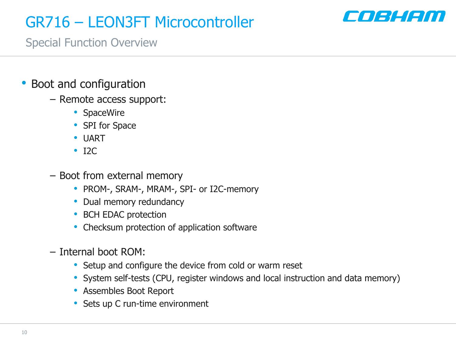

Special Function Overview

- Boot and configuration
	- Remote access support:
		- SpaceWire
		- SPI for Space
		- UART
		- I2C
	- Boot from external memory
		- PROM-, SRAM-, MRAM-, SPI- or I2C-memory
		- Dual memory redundancy
		- BCH EDAC protection
		- Checksum protection of application software
	- Internal boot ROM:
		- Setup and configure the device from cold or warm reset
		- System self-tests (CPU, register windows and local instruction and data memory)
		- Assembles Boot Report
		- Sets up C run-time environment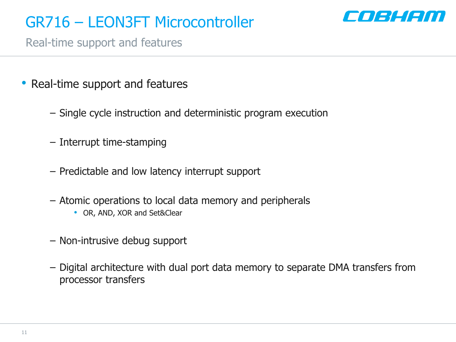

Real-time support and features

- Real-time support and features
	- Single cycle instruction and deterministic program execution
	- Interrupt time-stamping
	- Predictable and low latency interrupt support
	- Atomic operations to local data memory and peripherals
		- OR, AND, XOR and Set&Clear
	- Non-intrusive debug support
	- Digital architecture with dual port data memory to separate DMA transfers from processor transfers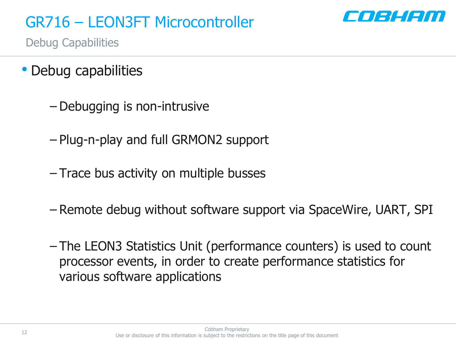

Debug Capabilities

- Debug capabilities
	- Debugging is non-intrusive
	- Plug-n-play and full GRMON2 support
	- Trace bus activity on multiple busses
	- Remote debug without software support via SpaceWire, UART, SPI
	- The LEON3 Statistics Unit (performance counters) is used to count processor events, in order to create performance statistics for various software applications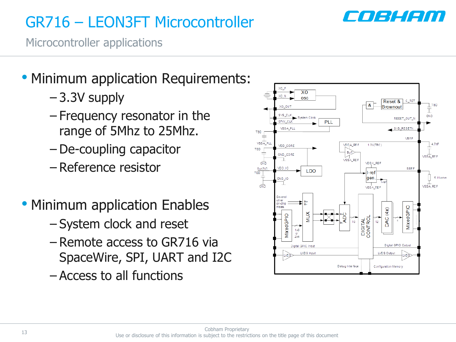

Microcontroller applications

- Minimum application Requirements:
	- 3.3V supply
	- Frequency resonator in the range of 5Mhz to 25Mhz.
	- De-coupling capacitor
	- Reference resistor
- Minimum application Enables
	- System clock and reset
	- Remote access to GR716 via SpaceWire, SPI, UART and I2C
	- Access to all functions

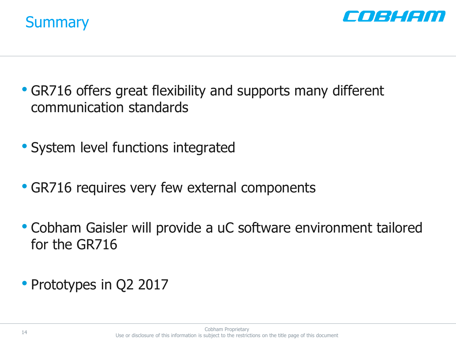



- GR716 offers great flexibility and supports many different communication standards
- System level functions integrated
- GR716 requires very few external components
- Cobham Gaisler will provide a uC software environment tailored for the GR716
- Prototypes in Q2 2017